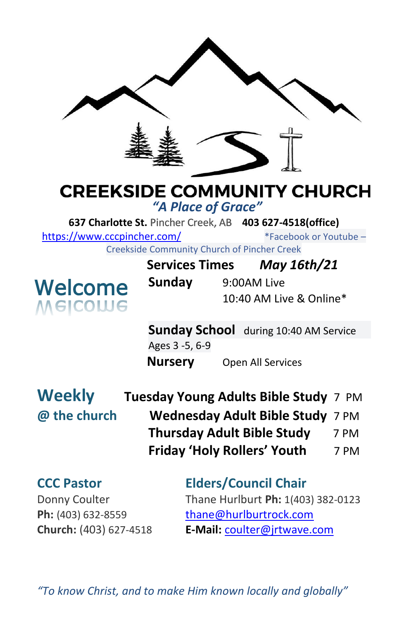

# **CREEKSIDE COMMUNITY CHURCH**

*"A Place of Grace"*

**637 Charlotte St.** Pincher Creek, AB **403 627-4518(office)** 

<https://www.cccpincher.com/>\*Facebook or Youtube –

Creekside Community Church of Pincher Creek



|                       |             | COMMUNICATION CHUICH OF FINCHICI CICCK |  |
|-----------------------|-------------|----------------------------------------|--|
| <b>Services Times</b> |             | May 16th/21                            |  |
| Sunday                | 9:00AM Live |                                        |  |
|                       |             | 10:40 AM Live & Online*                |  |

**Sunday School** during 10:40 AM Service Ages 3 -5, 6-9 **Nursery** Open All Services

**Weekly @ the church** 

| Tuesday Young Adults Bible Study 7 PM |      |
|---------------------------------------|------|
| Wednesday Adult Bible Study 7 PM      |      |
| <b>Thursday Adult Bible Study</b>     | 7 PM |
| <b>Friday 'Holy Rollers' Youth</b>    | 7 PM |
|                                       |      |

**CCC Pastor Elders/Council Chair** Donny Coulter Thane Hurlburt **Ph:** 1(403) 382-0123 Ph: (403) 632-8559 [thane@hurlburtrock.com](mailto:thane@hurlburtrock.com) **Church:** (403) 627-4518 **E-Mail:** [coulter@jrtwave.com](mailto:coulter@jrtwave.com)

*"To know Christ, and to make Him known locally and globally"*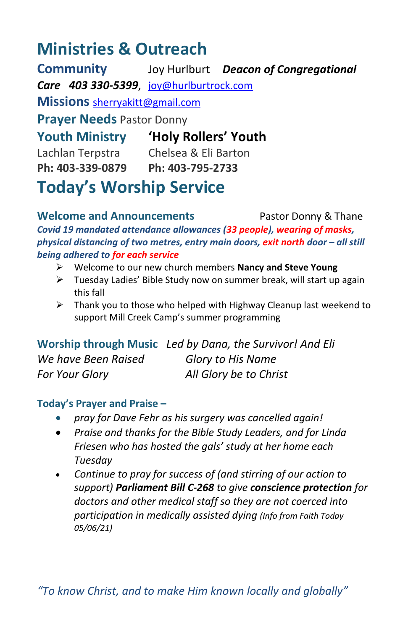## **Ministries & Outreach**

**Community** Joy Hurlburt *Deacon of Congregational Care 403 330-5399*, [joy@hurlburtrock.com](mailto:joy@hurlburtrock.com) **Missions** [sherryakitt@gmail.com](mailto:sherryakitt@gmail.com) **Prayer Needs** Pastor Donny **Youth Ministry 'Holy Rollers' Youth** Lachlan Terpstra Chelsea & Eli Barton **Ph: 403-339-0879 Ph: 403-795-2733**

**Today's Worship Service**

**Welcome and Announcements** Pastor Donny & Thane *Covid 19 mandated attendance allowances (33 people), wearing of masks, physical distancing of two metres, entry main doors, exit north door – all still being adhered to for each service*

- ➢ Welcome to our new church members **Nancy and Steve Young**
- ➢ Tuesday Ladies' Bible Study now on summer break, will start up again this fall
- ➢ Thank you to those who helped with Highway Cleanup last weekend to support Mill Creek Camp's summer programming

**Worship through Music** *Led by Dana, the Survivor! And Eli We have Been Raised Glory to His Name For Your Glory All Glory be to Christ*

#### **Today's Prayer and Praise –**

- *pray for Dave Fehr as his surgery was cancelled again!*
- *Praise and thanks for the Bible Study Leaders, and for Linda Friesen who has hosted the gals' study at her home each Tuesday*
- *Continue to pray for success of (and stirring of our action to support) Parliament Bill C-268 to give conscience protection for doctors and other medical staff so they are not coerced into participation in medically assisted dying (Info from Faith Today 05/06/21)*

*"To know Christ, and to make Him known locally and globally"*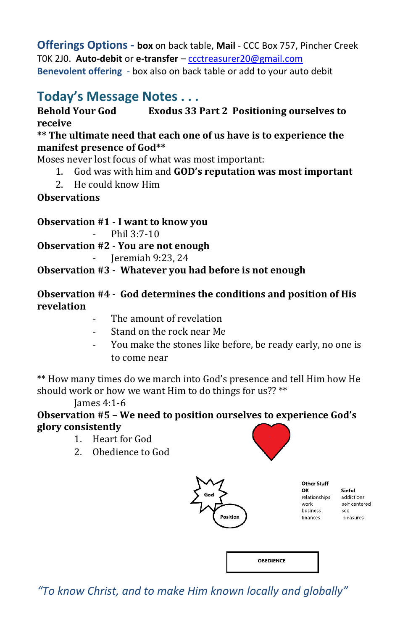**Offerings Options - box** on back table, **Mail** - CCC Box 757, Pincher Creek T0K 2J0. **Auto-debit** or **e-transfer** – [ccctreasurer20@gmail.com](mailto:ccctreasurer20@gmail.com) **Benevolent offering** - box also on back table or add to your auto debit

### **Today's Message Notes . . .**

#### **Behold Your God Exodus 33 Part 2 Positioning ourselves to receive**

#### **\*\* The ultimate need that each one of us have is to experience the manifest presence of God\*\***

Moses never lost focus of what was most important:

- 1. God was with him and **GOD's reputation was most important**
- 2. He could know Him

#### **Observations**

**Observation #1 - I want to know you**

 $-$  Phil 3 $\cdot$ 7-10

**Observation #2 - You are not enough**

- Jeremiah 9:23, 24

#### **Observation #3 - Whatever you had before is not enough**

#### **Observation #4 - God determines the conditions and position of His revelation**

- The amount of revelation
- Stand on the rock near Me
- You make the stones like before, be ready early, no one is to come near

\*\* How many times do we march into God's presence and tell Him how He should work or how we want Him to do things for us?? \*\*

James 4:1-6

#### **Observation #5 – We need to position ourselves to experience God's glory consistently**

- 1. Heart for God
- 2. Obedience to God



**Other Stuff** OK relationships work business finances

Sinful addictions self centered Sex pleasures

**OBEDIENCE** 

*"To know Christ, and to make Him known locally and globally"*